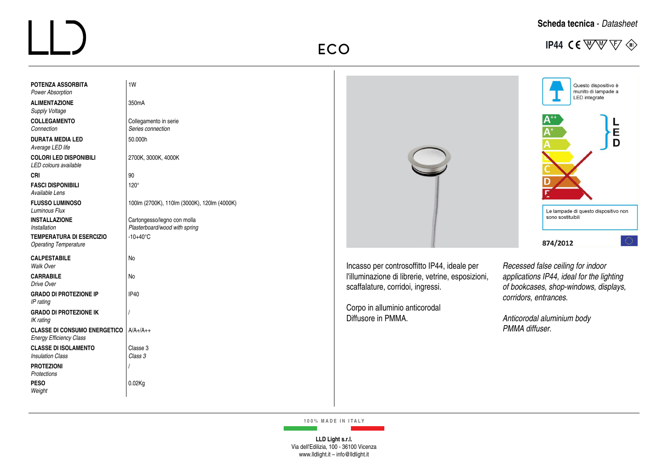## $\boxed{\underline{\qquad \qquad }}$

|  | Scheda tecnica - Datasheet |
|--|----------------------------|
|  |                            |

**ECO** IP44 CE WW  $\overline{\mathbb{V}}$   $\otimes$ 

| <b>POTENZA ASSORBITA</b><br><b>Power Absorption</b>                              | 1W                                          |                                                                                         | Questo dispositivo è<br>munito di lampade a<br>LED integrate                       |  |
|----------------------------------------------------------------------------------|---------------------------------------------|-----------------------------------------------------------------------------------------|------------------------------------------------------------------------------------|--|
| <b>ALIMENTAZIONE</b><br><b>Supply Voltage</b>                                    | 350mA                                       |                                                                                         |                                                                                    |  |
| <b>COLLEGAMENTO</b><br>Connection                                                | Collegamento in serie<br>Series connection  |                                                                                         |                                                                                    |  |
| <b>DURATA MEDIA LED</b><br>Average LED life                                      | 50.000h                                     |                                                                                         | E<br>D                                                                             |  |
| <b>COLORI LED DISPONIBILI</b><br>LED colours available                           | 2700K, 3000K, 4000K                         |                                                                                         |                                                                                    |  |
| <b>CRI</b>                                                                       | 90                                          |                                                                                         |                                                                                    |  |
| <b>FASCI DISPONIBILI</b><br>Available Lens                                       | $120^\circ$                                 |                                                                                         |                                                                                    |  |
| <b>FLUSSO LUMINOSO</b><br><b>Luminous Flux</b>                                   | 100lm (2700K), 110lm (3000K), 120lm (4000K) |                                                                                         | Le lampade di questo dispositivo non                                               |  |
| <b>INSTALLAZIONE</b>                                                             | Cartongesso/legno con molla                 |                                                                                         | sono sostituibili                                                                  |  |
| Installation                                                                     | Plasterboard/wood with spring               |                                                                                         |                                                                                    |  |
| <b>TEMPERATURA DI ESERCIZIO</b><br><b>Operating Temperature</b>                  | $-10+40^{\circ}$ C                          |                                                                                         | K)<br>874/2012                                                                     |  |
| <b>CALPESTABILE</b><br>Walk Over                                                 | No                                          | Incasso per controsoffitto IP44, ideale per                                             | Recessed false ceiling for indoor                                                  |  |
| <b>CARRABILE</b><br>Drive Over                                                   | No                                          | l'illuminazione di librerie, vetrine, esposizioni,<br>scaffalature, corridoi, ingressi. | applications IP44, ideal for the lighting<br>of bookcases, shop-windows, displays, |  |
| <b>GRADO DI PROTEZIONE IP</b><br>IP rating                                       | <b>IP40</b>                                 |                                                                                         | corridors, entrances.                                                              |  |
| <b>GRADO DI PROTEZIONE IK</b><br>IK rating                                       |                                             | Corpo in alluminio anticorodal<br>Diffusore in PMMA.                                    | Anticorodal aluminium body                                                         |  |
| <b>CLASSE DI CONSUMO ENERGETICO   A/A+/A++</b><br><b>Energy Efficiency Class</b> |                                             |                                                                                         | PMMA diffuser.                                                                     |  |
| <b>CLASSE DI ISOLAMENTO</b><br><b>Insulation Class</b>                           | Classe 3<br>Class 3                         |                                                                                         |                                                                                    |  |
| <b>PROTEZIONI</b><br>Protections                                                 |                                             |                                                                                         |                                                                                    |  |
| <b>PESO</b><br>Weight                                                            | 0.02Kg                                      |                                                                                         |                                                                                    |  |
|                                                                                  |                                             |                                                                                         |                                                                                    |  |

**100% MADE IN ITALY**

**LLD Light s.r.l.** Via dell'Edilizia, 100 - 36100 Vicenza www.lldlight.it – info@lldlight.it

 $\sim 10^{11}$